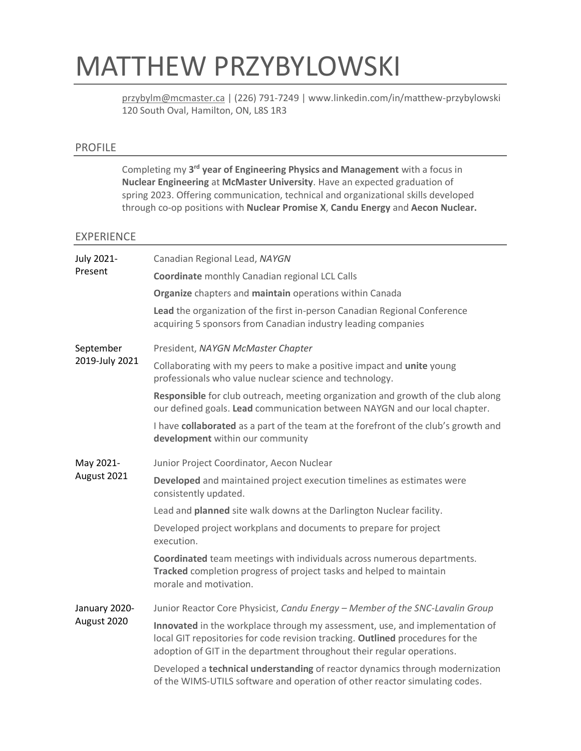# MATTHEW PRZYBYLOWSKI

[przybylm@mcmaster.ca](mailto:przybylm@mcmaster.ca) | (226) 791-7249 | www.linkedin.com/in/matthew-przybylowski 120 South Oval, Hamilton, ON, L8S 1R3

## PROFILE

Completing my 3<sup>rd</sup> year of Engineering Physics and Management with a focus in **Nuclear Engineering** at **McMaster University**. Have an expected graduation of spring 2023. Offering communication, technical and organizational skills developed through co-op positions with **Nuclear Promise X**, **Candu Energy** and **Aecon Nuclear.**

### EXPERIENCE

| <b>July 2021-</b><br>Present | Canadian Regional Lead, NAYGN                                                                                                                                                                                                            |
|------------------------------|------------------------------------------------------------------------------------------------------------------------------------------------------------------------------------------------------------------------------------------|
|                              | <b>Coordinate</b> monthly Canadian regional LCL Calls                                                                                                                                                                                    |
|                              | Organize chapters and maintain operations within Canada                                                                                                                                                                                  |
|                              | Lead the organization of the first in-person Canadian Regional Conference<br>acquiring 5 sponsors from Canadian industry leading companies                                                                                               |
| September<br>2019-July 2021  | President, NAYGN McMaster Chapter                                                                                                                                                                                                        |
|                              | Collaborating with my peers to make a positive impact and unite young<br>professionals who value nuclear science and technology.                                                                                                         |
|                              | Responsible for club outreach, meeting organization and growth of the club along<br>our defined goals. Lead communication between NAYGN and our local chapter.                                                                           |
|                              | I have collaborated as a part of the team at the forefront of the club's growth and<br>development within our community                                                                                                                  |
| May 2021-<br>August 2021     | Junior Project Coordinator, Aecon Nuclear                                                                                                                                                                                                |
|                              | Developed and maintained project execution timelines as estimates were<br>consistently updated.                                                                                                                                          |
|                              | Lead and planned site walk downs at the Darlington Nuclear facility.                                                                                                                                                                     |
|                              | Developed project workplans and documents to prepare for project<br>execution.                                                                                                                                                           |
|                              | Coordinated team meetings with individuals across numerous departments.<br>Tracked completion progress of project tasks and helped to maintain<br>morale and motivation.                                                                 |
| January 2020-<br>August 2020 | Junior Reactor Core Physicist, Candu Energy - Member of the SNC-Lavalin Group                                                                                                                                                            |
|                              | Innovated in the workplace through my assessment, use, and implementation of<br>local GIT repositories for code revision tracking. Outlined procedures for the<br>adoption of GIT in the department throughout their regular operations. |
|                              | Developed a technical understanding of reactor dynamics through modernization<br>of the WIMS-UTILS software and operation of other reactor simulating codes.                                                                             |